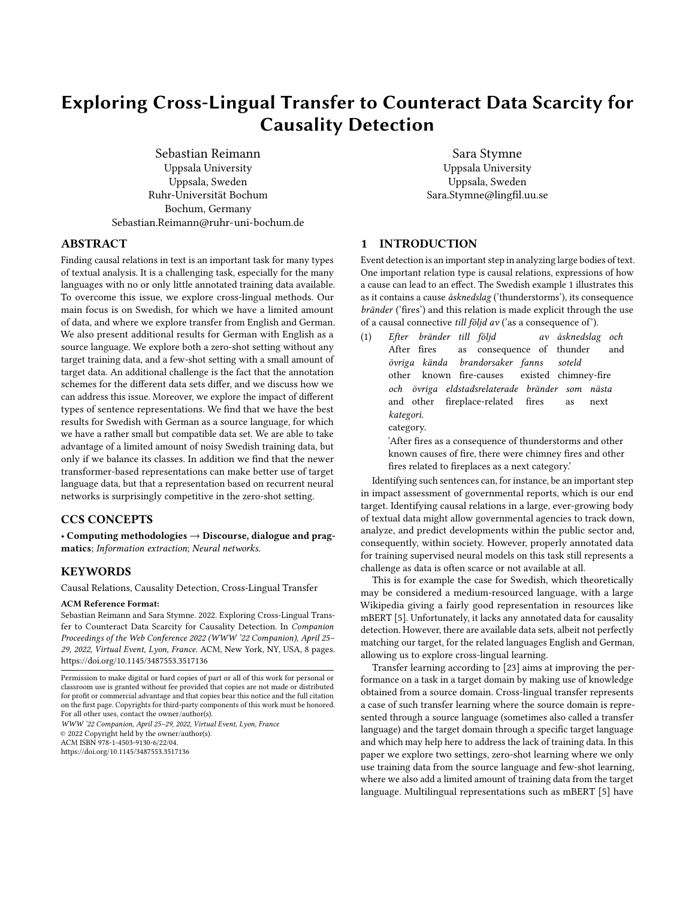# Exploring Cross-Lingual Transfer to Counteract Data Scarcity for Causality Detection

Sebastian Reimann Uppsala University Uppsala, Sweden Ruhr-Universität Bochum Bochum, Germany Sebastian.Reimann@ruhr-uni-bochum.de

Sara Stymne Uppsala University Uppsala, Sweden Sara.Stymne@lingfil.uu.se

# ABSTRACT

Finding causal relations in text is an important task for many types of textual analysis. It is a challenging task, especially for the many languages with no or only little annotated training data available. To overcome this issue, we explore cross-lingual methods. Our main focus is on Swedish, for which we have a limited amount of data, and where we explore transfer from English and German. We also present additional results for German with English as a source language. We explore both a zero-shot setting without any target training data, and a few-shot setting with a small amount of target data. An additional challenge is the fact that the annotation schemes for the different data sets differ, and we discuss how we can address this issue. Moreover, we explore the impact of different types of sentence representations. We find that we have the best results for Swedish with German as a source language, for which we have a rather small but compatible data set. We are able to take advantage of a limited amount of noisy Swedish training data, but only if we balance its classes. In addition we find that the newer transformer-based representations can make better use of target language data, but that a representation based on recurrent neural networks is surprisingly competitive in the zero-shot setting.

## CCS CONCEPTS

• Computing methodologies  $\rightarrow$  Discourse, dialogue and pragmatics; Information extraction; Neural networks.

## **KEYWORDS**

Causal Relations, Causality Detection, Cross-Lingual Transfer

#### ACM Reference Format:

Sebastian Reimann and Sara Stymne. 2022. Exploring Cross-Lingual Transfer to Counteract Data Scarcity for Causality Detection. In Companion Proceedings of the Web Conference 2022 (WWW '22 Companion), April 25– 29, 2022, Virtual Event, Lyon, France. ACM, New York, NY, USA, [8](#page-7-0) pages. <https://doi.org/10.1145/3487553.3517136>

WWW '22 Companion, April 25–29, 2022, Virtual Event, Lyon, France © 2022 Copyright held by the owner/author(s). ACM ISBN 978-1-4503-9130-6/22/04. <https://doi.org/10.1145/3487553.3517136>

## 1 INTRODUCTION

Event detection is an important step in analyzing large bodies of text. One important relation type is causal relations, expressions of how a cause can lead to an effect. The Swedish example [1](#page-0-0) illustrates this as it contains a cause åsknedslag ('thunderstorms'), its consequence bränder ('fires') and this relation is made explicit through the use of a causal connective till följd av ('as a consequence of').

'After fires as a consequence of thunderstorms and other known causes of fire, there were chimney fires and other fires related to fireplaces as a next category.'

Identifying such sentences can, for instance, be an important step in impact assessment of governmental reports, which is our end target. Identifying causal relations in a large, ever-growing body of textual data might allow governmental agencies to track down, analyze, and predict developments within the public sector and, consequently, within society. However, properly annotated data for training supervised neural models on this task still represents a challenge as data is often scarce or not available at all.

This is for example the case for Swedish, which theoretically may be considered a medium-resourced language, with a large Wikipedia giving a fairly good representation in resources like mBERT [\[5\]](#page-6-0). Unfortunately, it lacks any annotated data for causality detection. However, there are available data sets, albeit not perfectly matching our target, for the related languages English and German, allowing us to explore cross-lingual learning.

Transfer learning according to [\[23\]](#page-7-1) aims at improving the performance on a task in a target domain by making use of knowledge obtained from a source domain. Cross-lingual transfer represents a case of such transfer learning where the source domain is represented through a source language (sometimes also called a transfer language) and the target domain through a specific target language and which may help here to address the lack of training data. In this paper we explore two settings, zero-shot learning where we only use training data from the source language and few-shot learning, where we also add a limited amount of training data from the target language. Multilingual representations such as mBERT [\[5\]](#page-6-0) have

Permission to make digital or hard copies of part or all of this work for personal or classroom use is granted without fee provided that copies are not made or distributed for profit or commercial advantage and that copies bear this notice and the full citation on the first page. Copyrights for third-party components of this work must be honored. For all other uses, contact the owner/author(s).

<span id="page-0-0"></span><sup>(1)</sup> Efter bränder till följd After fires as consequence of av åsknedslag och thunder and övriga kända brandorsaker fanns other known fire-causes existed chimney-fire soteld och övriga eldstadsrelaterade bränder som nästa and other fireplace-related fires as next kategori. category.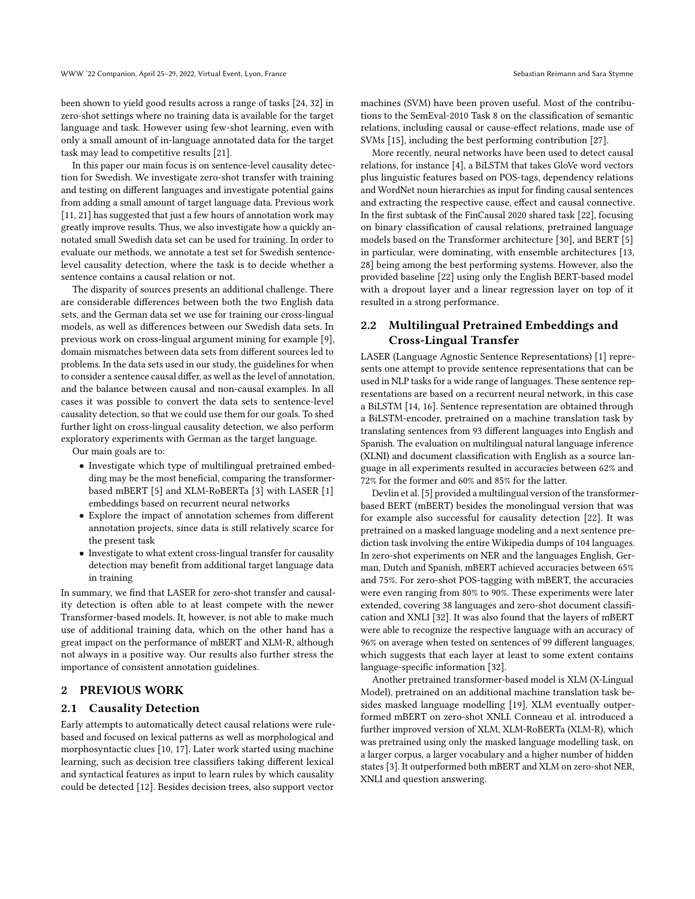been shown to yield good results across a range of tasks [\[24,](#page-7-2) [32\]](#page-7-3) in zero-shot settings where no training data is available for the target language and task. However using few-shot learning, even with only a small amount of in-language annotated data for the target task may lead to competitive results [\[21\]](#page-7-4).

In this paper our main focus is on sentence-level causality detection for Swedish. We investigate zero-shot transfer with training and testing on different languages and investigate potential gains from adding a small amount of target language data. Previous work [\[11,](#page-7-5) [21\]](#page-7-4) has suggested that just a few hours of annotation work may greatly improve results. Thus, we also investigate how a quickly annotated small Swedish data set can be used for training. In order to evaluate our methods, we annotate a test set for Swedish sentencelevel causality detection, where the task is to decide whether a sentence contains a causal relation or not.

The disparity of sources presents an additional challenge. There are considerable differences between both the two English data sets, and the German data set we use for training our cross-lingual models, as well as differences between our Swedish data sets. In previous work on cross-lingual argument mining for example [\[9\]](#page-6-1), domain mismatches between data sets from different sources led to problems. In the data sets used in our study, the guidelines for when to consider a sentence causal differ, as well as the level of annotation, and the balance between causal and non-causal examples. In all cases it was possible to convert the data sets to sentence-level causality detection, so that we could use them for our goals. To shed further light on cross-lingual causality detection, we also perform exploratory experiments with German as the target language.

Our main goals are to:

- Investigate which type of multilingual pretrained embedding may be the most beneficial, comparing the transformerbased mBERT [\[5\]](#page-6-0) and XLM-RoBERTa [\[3\]](#page-6-2) with LASER [\[1\]](#page-6-3) embeddings based on recurrent neural networks
- Explore the impact of annotation schemes from different annotation projects, since data is still relatively scarce for the present task
- Investigate to what extent cross-lingual transfer for causality detection may benefit from additional target language data in training

In summary, we find that LASER for zero-shot transfer and causality detection is often able to at least compete with the newer Transformer-based models. It, however, is not able to make much use of additional training data, which on the other hand has a great impact on the performance of mBERT and XLM-R, although not always in a positive way. Our results also further stress the importance of consistent annotation guidelines.

## 2 PREVIOUS WORK

#### 2.1 Causality Detection

Early attempts to automatically detect causal relations were rulebased and focused on lexical patterns as well as morphological and morphosyntactic clues [\[10,](#page-7-6) [17\]](#page-7-7). Later work started using machine learning, such as decision tree classifiers taking different lexical and syntactical features as input to learn rules by which causality could be detected [\[12\]](#page-7-8). Besides decision trees, also support vector machines (SVM) have been proven useful. Most of the contributions to the SemEval-2010 Task 8 on the classification of semantic relations, including causal or cause-effect relations, made use of SVMs [\[15\]](#page-7-9), including the best performing contribution [\[27\]](#page-7-10).

More recently, neural networks have been used to detect causal relations, for instance [\[4\]](#page-6-4), a BiLSTM that takes GloVe word vectors plus linguistic features based on POS-tags, dependency relations and WordNet noun hierarchies as input for finding causal sentences and extracting the respective cause, effect and causal connective. In the first subtask of the FinCausal 2020 shared task [\[22\]](#page-7-11), focusing on binary classification of causal relations, pretrained language models based on the Transformer architecture [\[30\]](#page-7-12), and BERT [\[5\]](#page-6-0) in particular, were dominating, with ensemble architectures [\[13,](#page-7-13) [28\]](#page-7-14) being among the best performing systems. However, also the provided baseline [\[22\]](#page-7-11) using only the English BERT-based model with a dropout layer and a linear regression layer on top of it resulted in a strong performance.

## 2.2 Multilingual Pretrained Embeddings and Cross-Lingual Transfer

LASER (Language Agnostic Sentence Representations) [\[1\]](#page-6-3) represents one attempt to provide sentence representations that can be used in NLP tasks for a wide range of languages. These sentence representations are based on a recurrent neural network, in this case a BiLSTM [\[14,](#page-7-15) [16\]](#page-7-16). Sentence representation are obtained through a BiLSTM-encoder, pretrained on a machine translation task by translating sentences from 93 different languages into English and Spanish. The evaluation on multilingual natural language inference (XLNI) and document classification with English as a source language in all experiments resulted in accuracies between 62% and 72% for the former and 60% and 85% for the latter.

Devlin et al. [\[5\]](#page-6-0) provided a multilingual version of the transformerbased BERT (mBERT) besides the monolingual version that was for example also successful for causality detection [\[22\]](#page-7-11). It was pretrained on a masked language modeling and a next sentence prediction task involving the entire Wikipedia dumps of 104 languages. In zero-shot experiments on NER and the languages English, German, Dutch and Spanish, mBERT achieved accuracies between 65% and 75%. For zero-shot POS-tagging with mBERT, the accuracies were even ranging from 80% to 90%. These experiments were later extended, covering 38 languages and zero-shot document classification and XNLI [\[32\]](#page-7-3). It was also found that the layers of mBERT were able to recognize the respective language with an accuracy of 96% on average when tested on sentences of 99 different languages, which suggests that each layer at least to some extent contains language-specific information [\[32\]](#page-7-3).

Another pretrained transformer-based model is XLM (X-Lingual Model), pretrained on an additional machine translation task besides masked language modelling [\[19\]](#page-7-17). XLM eventually outperformed mBERT on zero-shot XNLI. Conneau et al. introduced a further improved version of XLM, XLM-RoBERTa (XLM-R), which was pretrained using only the masked language modelling task, on a larger corpus, a larger vocabulary and a higher number of hidden states [\[3\]](#page-6-2). It outperformed both mBERT and XLM on zero-shot NER, XNLI and question answering.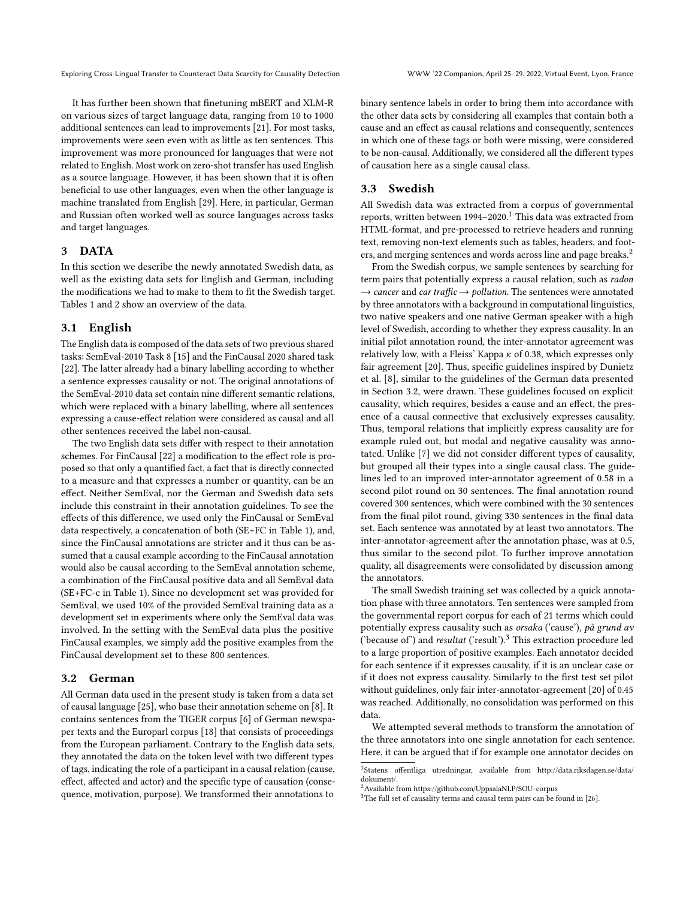Exploring Cross-Lingual Transfer to Counteract Data Scarcity for Causality Detection WWW '22 Companion, April 25–29, 2022, Virtual Event, Lyon, France

It has further been shown that finetuning mBERT and XLM-R on various sizes of target language data, ranging from 10 to 1000 additional sentences can lead to improvements [\[21\]](#page-7-4). For most tasks, improvements were seen even with as little as ten sentences. This improvement was more pronounced for languages that were not related to English. Most work on zero-shot transfer has used English as a source language. However, it has been shown that it is often beneficial to use other languages, even when the other language is machine translated from English [\[29\]](#page-7-18). Here, in particular, German and Russian often worked well as source languages across tasks and target languages.

#### 3 DATA

In this section we describe the newly annotated Swedish data, as well as the existing data sets for English and German, including the modifications we had to make to them to fit the Swedish target. Tables [1](#page-3-0) and [2](#page-3-1) show an overview of the data.

## 3.1 English

The English data is composed of the data sets of two previous shared tasks: SemEval-2010 Task 8 [\[15\]](#page-7-9) and the FinCausal 2020 shared task [\[22\]](#page-7-11). The latter already had a binary labelling according to whether a sentence expresses causality or not. The original annotations of the SemEval-2010 data set contain nine different semantic relations, which were replaced with a binary labelling, where all sentences expressing a cause-effect relation were considered as causal and all other sentences received the label non-causal.

The two English data sets differ with respect to their annotation schemes. For FinCausal [\[22\]](#page-7-11) a modification to the effect role is proposed so that only a quantified fact, a fact that is directly connected to a measure and that expresses a number or quantity, can be an effect. Neither SemEval, nor the German and Swedish data sets include this constraint in their annotation guidelines. To see the effects of this difference, we used only the FinCausal or SemEval data respectively, a concatenation of both (SE+FC in Table [1\)](#page-3-0), and, since the FinCausal annotations are stricter and it thus can be assumed that a causal example according to the FinCausal annotation would also be causal according to the SemEval annotation scheme, a combination of the FinCausal positive data and all SemEval data (SE+FC-c in Table [1\)](#page-3-0). Since no development set was provided for SemEval, we used 10% of the provided SemEval training data as a development set in experiments where only the SemEval data was involved. In the setting with the SemEval data plus the positive FinCausal examples, we simply add the positive examples from the FinCausal development set to these 800 sentences.

#### <span id="page-2-2"></span>3.2 German

All German data used in the present study is taken from a data set of causal language [\[25\]](#page-7-19), who base their annotation scheme on [\[8\]](#page-6-5). It contains sentences from the TIGER corpus [\[6\]](#page-6-6) of German newspaper texts and the Europarl corpus [\[18\]](#page-7-20) that consists of proceedings from the European parliament. Contrary to the English data sets, they annotated the data on the token level with two different types of tags, indicating the role of a participant in a causal relation (cause, effect, affected and actor) and the specific type of causation (consequence, motivation, purpose). We transformed their annotations to

binary sentence labels in order to bring them into accordance with the other data sets by considering all examples that contain both a cause and an effect as causal relations and consequently, sentences in which one of these tags or both were missing, were considered to be non-causal. Additionally, we considered all the different types of causation here as a single causal class.

#### 3.3 Swedish

All Swedish data was extracted from a corpus of governmental reports, written between  $1994-2020$  $1994-2020$ .<sup>1</sup> This data was extracted from HTML-format, and pre-processed to retrieve headers and running text, removing non-text elements such as tables, headers, and foot-ers, and merging sentences and words across line and page breaks.<sup>[2](#page-2-1)</sup>

From the Swedish corpus, we sample sentences by searching for term pairs that potentially express a causal relation, such as radon  $\rightarrow$  cancer and car traffic  $\rightarrow$  pollution. The sentences were annotated by three annotators with a background in computational linguistics, two native speakers and one native German speaker with a high level of Swedish, according to whether they express causality. In an initial pilot annotation round, the inter-annotator agreement was relatively low, with a Fleiss' Kappa  $\kappa$  of 0.38, which expresses only fair agreement [\[20\]](#page-7-21). Thus, specific guidelines inspired by Dunietz et al. [\[8\]](#page-6-5), similar to the guidelines of the German data presented in Section [3.2,](#page-2-2) were drawn. These guidelines focused on explicit causality, which requires, besides a cause and an effect, the presence of a causal connective that exclusively expresses causality. Thus, temporal relations that implicitly express causality are for example ruled out, but modal and negative causality was annotated. Unlike [\[7\]](#page-6-7) we did not consider different types of causality, but grouped all their types into a single causal class. The guidelines led to an improved inter-annotator agreement of 0.58 in a second pilot round on 30 sentences. The final annotation round covered 300 sentences, which were combined with the 30 sentences from the final pilot round, giving 330 sentences in the final data set. Each sentence was annotated by at least two annotators. The inter-annotator-agreement after the annotation phase, was at 0.5, thus similar to the second pilot. To further improve annotation quality, all disagreements were consolidated by discussion among the annotators.

The small Swedish training set was collected by a quick annotation phase with three annotators. Ten sentences were sampled from the governmental report corpus for each of 21 terms which could potentially express causality such as orsaka ('cause'), på grund av ('because of') and resultat ('result').[3](#page-2-3) This extraction procedure led to a large proportion of positive examples. Each annotator decided for each sentence if it expresses causality, if it is an unclear case or if it does not express causality. Similarly to the first test set pilot without guidelines, only fair inter-annotator-agreement [\[20\]](#page-7-21) of 0.45 was reached. Additionally, no consolidation was performed on this data.

We attempted several methods to transform the annotation of the three annotators into one single annotation for each sentence. Here, it can be argued that if for example one annotator decides on

<span id="page-2-3"></span> $3$ The full set of causality terms and causal term pairs can be found in [\[26\]](#page-7-22).

<span id="page-2-0"></span><sup>&</sup>lt;sup>1</sup>Statens offentliga utredningar, available from [http://data.riksdagen.se/data/](http://data.riksdagen.se/data/dokument/) [dokument/.](http://data.riksdagen.se/data/dokument/)

<span id="page-2-1"></span><sup>2</sup>Available from<https://github.com/UppsalaNLP/SOU-corpus>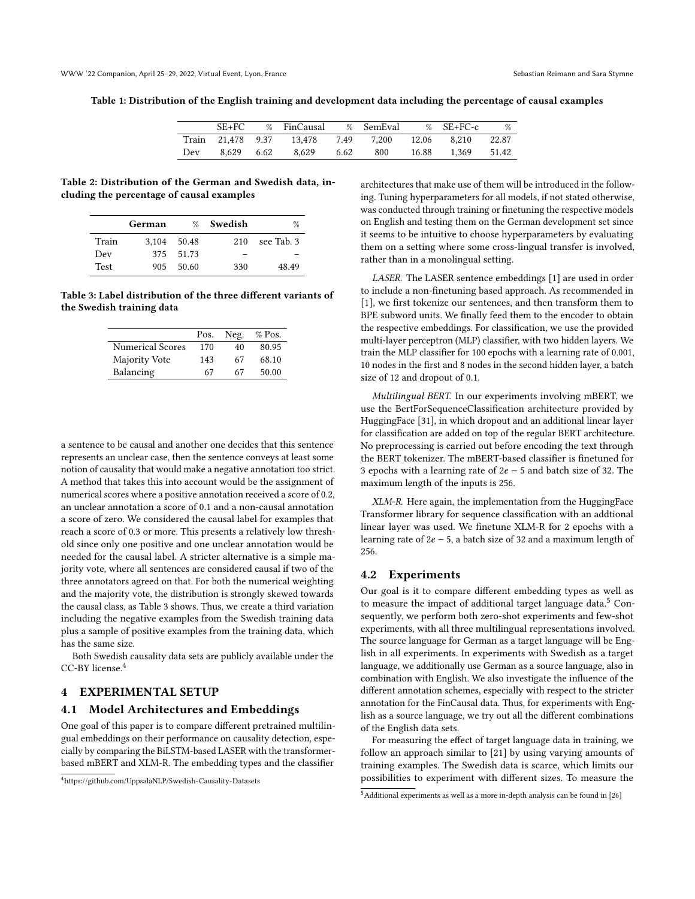<span id="page-3-0"></span>Table 1: Distribution of the English training and development data including the percentage of causal examples

|       | $SE+FC$ |      | % FinCausal |      | % SemEval |       | $\%$ SE+FC-c | %     |
|-------|---------|------|-------------|------|-----------|-------|--------------|-------|
| Train | 21.478  | 9.37 | 13.478      | 7.49 | 7.200     | 12.06 | 8.210        | 22.87 |
| Dev   | 8.629   | 6.62 | 8.629       | 6.62 | 800       | 16.88 | 1.369        | 51.42 |

<span id="page-3-1"></span>Table 2: Distribution of the German and Swedish data, including the percentage of causal examples

|             | German | $\%$  | Swedish | %          |
|-------------|--------|-------|---------|------------|
| Train       | 3.104  | 50.48 | 210     | see Tab. 3 |
| Dev         | 375    | 51.73 |         |            |
| <b>Test</b> | 905    | 50.60 | 330     | 48.49      |

<span id="page-3-2"></span>Table 3: Label distribution of the three different variants of the Swedish training data

|                         | Pos. | Neg. | % Pos. |
|-------------------------|------|------|--------|
| <b>Numerical Scores</b> | 170  | 40   | 80.95  |
| Majority Vote           | 143  | 67   | 68.10  |
| Balancing               | 67   | 67   | 50.00  |

a sentence to be causal and another one decides that this sentence represents an unclear case, then the sentence conveys at least some notion of causality that would make a negative annotation too strict. A method that takes this into account would be the assignment of numerical scores where a positive annotation received a score of 0.2, an unclear annotation a score of 0.1 and a non-causal annotation a score of zero. We considered the causal label for examples that reach a score of 0.3 or more. This presents a relatively low threshold since only one positive and one unclear annotation would be needed for the causal label. A stricter alternative is a simple majority vote, where all sentences are considered causal if two of the three annotators agreed on that. For both the numerical weighting and the majority vote, the distribution is strongly skewed towards the causal class, as Table [3](#page-3-2) shows. Thus, we create a third variation including the negative examples from the Swedish training data plus a sample of positive examples from the training data, which has the same size.

Both Swedish causality data sets are publicly available under the CC-BY license.[4](#page-3-3)

#### 4 EXPERIMENTAL SETUP

#### 4.1 Model Architectures and Embeddings

One goal of this paper is to compare different pretrained multilingual embeddings on their performance on causality detection, especially by comparing the BiLSTM-based LASER with the transformerbased mBERT and XLM-R. The embedding types and the classifier

architectures that make use of them will be introduced in the following. Tuning hyperparameters for all models, if not stated otherwise, was conducted through training or finetuning the respective models on English and testing them on the German development set since it seems to be intuitive to choose hyperparameters by evaluating them on a setting where some cross-lingual transfer is involved, rather than in a monolingual setting.

LASER. The LASER sentence embeddings [\[1\]](#page-6-3) are used in order to include a non-finetuning based approach. As recommended in [\[1\]](#page-6-3), we first tokenize our sentences, and then transform them to BPE subword units. We finally feed them to the encoder to obtain the respective embeddings. For classification, we use the provided multi-layer perceptron (MLP) classifier, with two hidden layers. We train the MLP classifier for 100 epochs with a learning rate of 0.001, 10 nodes in the first and 8 nodes in the second hidden layer, a batch size of 12 and dropout of 0.1.

Multilingual BERT. In our experiments involving mBERT, we use the BertForSequenceClassification architecture provided by HuggingFace [\[31\]](#page-7-23), in which dropout and an additional linear layer for classification are added on top of the regular BERT architecture. No preprocessing is carried out before encoding the text through the BERT tokenizer. The mBERT-based classifier is finetuned for 3 epochs with a learning rate of  $2e - 5$  and batch size of 32. The maximum length of the inputs is 256.

XLM-R. Here again, the implementation from the HuggingFace Transformer library for sequence classification with an addtional linear layer was used. We finetune XLM-R for 2 epochs with a learning rate of  $2e - 5$ , a batch size of 32 and a maximum length of 256.

#### 4.2 Experiments

Our goal is it to compare different embedding types as well as to measure the impact of additional target language data.<sup>[5](#page-3-4)</sup> Consequently, we perform both zero-shot experiments and few-shot experiments, with all three multilingual representations involved. The source language for German as a target language will be English in all experiments. In experiments with Swedish as a target language, we additionally use German as a source language, also in combination with English. We also investigate the influence of the different annotation schemes, especially with respect to the stricter annotation for the FinCausal data. Thus, for experiments with English as a source language, we try out all the different combinations of the English data sets.

For measuring the effect of target language data in training, we follow an approach similar to [\[21\]](#page-7-4) by using varying amounts of training examples. The Swedish data is scarce, which limits our possibilities to experiment with different sizes. To measure the

<span id="page-3-3"></span><sup>4</sup><https://github.com/UppsalaNLP/Swedish-Causality-Datasets>

<span id="page-3-4"></span> $^5\!$  Additional experiments as well as a more in-depth analysis can be found in [\[26\]](#page-7-22)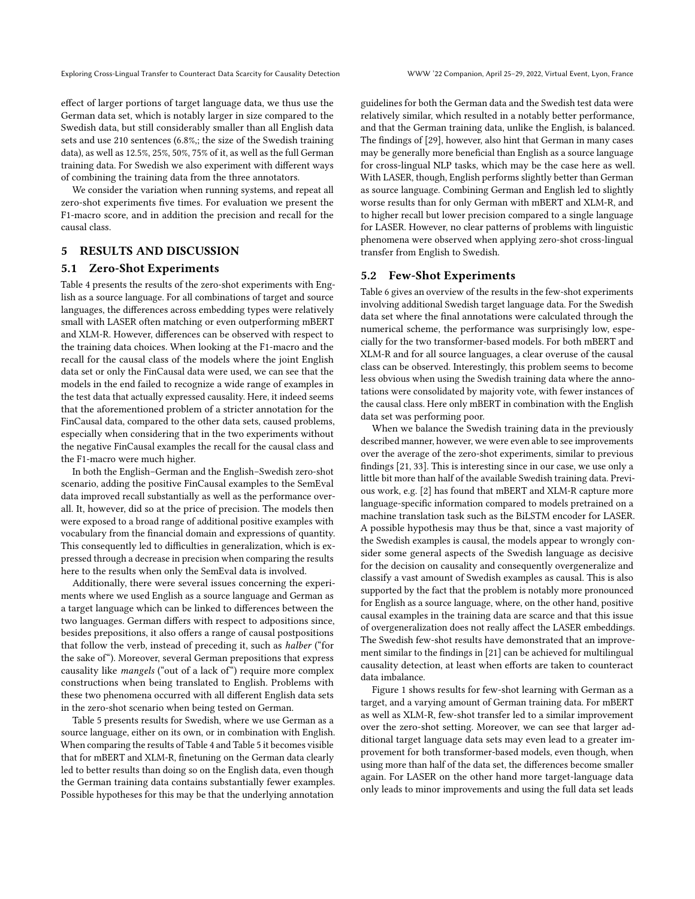effect of larger portions of target language data, we thus use the German data set, which is notably larger in size compared to the Swedish data, but still considerably smaller than all English data sets and use 210 sentences (6.8%,; the size of the Swedish training data), as well as 12.5%, 25%, 50%, 75% of it, as well as the full German training data. For Swedish we also experiment with different ways of combining the training data from the three annotators.

We consider the variation when running systems, and repeat all zero-shot experiments five times. For evaluation we present the F1-macro score, and in addition the precision and recall for the causal class.

# 5 RESULTS AND DISCUSSION

#### 5.1 Zero-Shot Experiments

Table [4](#page-5-0) presents the results of the zero-shot experiments with English as a source language. For all combinations of target and source languages, the differences across embedding types were relatively small with LASER often matching or even outperforming mBERT and XLM-R. However, differences can be observed with respect to the training data choices. When looking at the F1-macro and the recall for the causal class of the models where the joint English data set or only the FinCausal data were used, we can see that the models in the end failed to recognize a wide range of examples in the test data that actually expressed causality. Here, it indeed seems that the aforementioned problem of a stricter annotation for the FinCausal data, compared to the other data sets, caused problems, especially when considering that in the two experiments without the negative FinCausal examples the recall for the causal class and the F1-macro were much higher.

In both the English–German and the English–Swedish zero-shot scenario, adding the positive FinCausal examples to the SemEval data improved recall substantially as well as the performance overall. It, however, did so at the price of precision. The models then were exposed to a broad range of additional positive examples with vocabulary from the financial domain and expressions of quantity. This consequently led to difficulties in generalization, which is expressed through a decrease in precision when comparing the results here to the results when only the SemEval data is involved.

Additionally, there were several issues concerning the experiments where we used English as a source language and German as a target language which can be linked to differences between the two languages. German differs with respect to adpositions since, besides prepositions, it also offers a range of causal postpositions that follow the verb, instead of preceding it, such as halber ("for the sake of"). Moreover, several German prepositions that express causality like mangels ("out of a lack of") require more complex constructions when being translated to English. Problems with these two phenomena occurred with all different English data sets in the zero-shot scenario when being tested on German.

Table [5](#page-5-1) presents results for Swedish, where we use German as a source language, either on its own, or in combination with English. When comparing the results of Table [4](#page-5-0) and Table [5](#page-5-1) it becomes visible that for mBERT and XLM-R, finetuning on the German data clearly led to better results than doing so on the English data, even though the German training data contains substantially fewer examples. Possible hypotheses for this may be that the underlying annotation

guidelines for both the German data and the Swedish test data were relatively similar, which resulted in a notably better performance, and that the German training data, unlike the English, is balanced. The findings of [\[29\]](#page-7-18), however, also hint that German in many cases may be generally more beneficial than English as a source language for cross-lingual NLP tasks, which may be the case here as well. With LASER, though, English performs slightly better than German as source language. Combining German and English led to slightly worse results than for only German with mBERT and XLM-R, and to higher recall but lower precision compared to a single language for LASER. However, no clear patterns of problems with linguistic phenomena were observed when applying zero-shot cross-lingual transfer from English to Swedish.

#### 5.2 Few-Shot Experiments

Table [6](#page-5-2) gives an overview of the results in the few-shot experiments involving additional Swedish target language data. For the Swedish data set where the final annotations were calculated through the numerical scheme, the performance was surprisingly low, especially for the two transformer-based models. For both mBERT and XLM-R and for all source languages, a clear overuse of the causal class can be observed. Interestingly, this problem seems to become less obvious when using the Swedish training data where the annotations were consolidated by majority vote, with fewer instances of the causal class. Here only mBERT in combination with the English data set was performing poor.

When we balance the Swedish training data in the previously described manner, however, we were even able to see improvements over the average of the zero-shot experiments, similar to previous findings [\[21,](#page-7-4) [33\]](#page-7-24). This is interesting since in our case, we use only a little bit more than half of the available Swedish training data. Previous work, e.g. [\[2\]](#page-6-8) has found that mBERT and XLM-R capture more language-specific information compared to models pretrained on a machine translation task such as the BiLSTM encoder for LASER. A possible hypothesis may thus be that, since a vast majority of the Swedish examples is causal, the models appear to wrongly consider some general aspects of the Swedish language as decisive for the decision on causality and consequently overgeneralize and classify a vast amount of Swedish examples as causal. This is also supported by the fact that the problem is notably more pronounced for English as a source language, where, on the other hand, positive causal examples in the training data are scarce and that this issue of overgeneralization does not really affect the LASER embeddings. The Swedish few-shot results have demonstrated that an improvement similar to the findings in [\[21\]](#page-7-4) can be achieved for multilingual causality detection, at least when efforts are taken to counteract data imbalance.

Figure [1](#page-6-9) shows results for few-shot learning with German as a target, and a varying amount of German training data. For mBERT as well as XLM-R, few-shot transfer led to a similar improvement over the zero-shot setting. Moreover, we can see that larger additional target language data sets may even lead to a greater improvement for both transformer-based models, even though, when using more than half of the data set, the differences become smaller again. For LASER on the other hand more target-language data only leads to minor improvements and using the full data set leads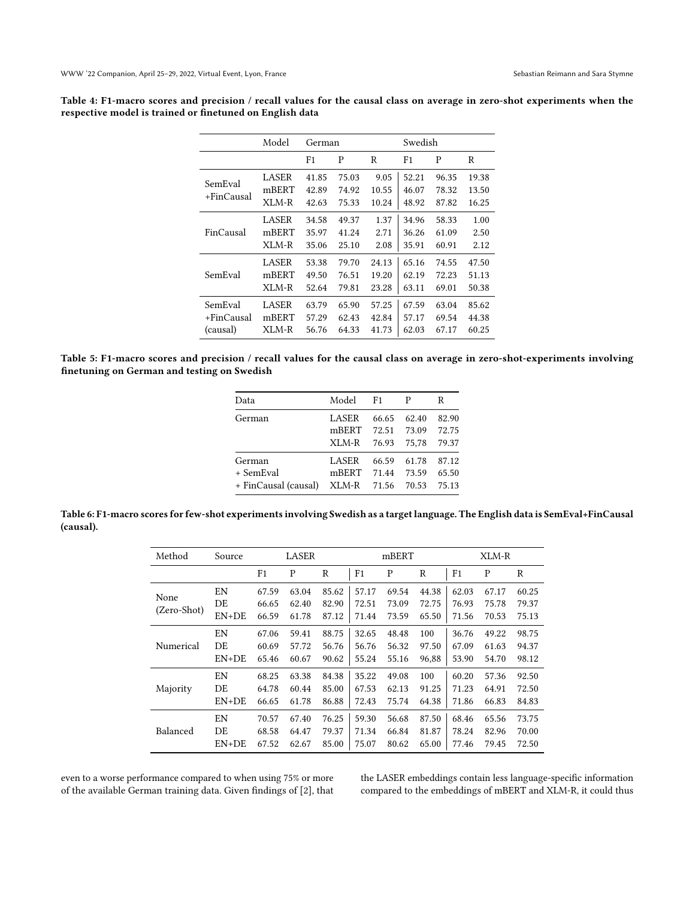<span id="page-5-0"></span>

| Table 4: F1-macro scores and precision / recall values for the causal class on average in zero-shot experiments when the |  |  |  |  |  |  |
|--------------------------------------------------------------------------------------------------------------------------|--|--|--|--|--|--|
| respective model is trained or finetuned on English data                                                                 |  |  |  |  |  |  |

|                       | Model                   | German                  |                         |                        | Swedish                 |                         |                         |  |
|-----------------------|-------------------------|-------------------------|-------------------------|------------------------|-------------------------|-------------------------|-------------------------|--|
|                       |                         | F1                      | P                       | R                      | F <sub>1</sub>          | P                       | R                       |  |
| SemEval<br>+FinCausal | LASER<br>mBERT<br>XLM-R | 41.85<br>42.89<br>42.63 | 75.03<br>74.92<br>75.33 | 9.05<br>10.55<br>10.24 | 52.21<br>46.07<br>48.92 | 96.35<br>78.32<br>87.82 | 19.38<br>13.50<br>16.25 |  |
| FinCausal             | <b>LASER</b>            | 34.58                   | 49.37                   | 1.37                   | 34.96                   | 58.33                   | 1.00                    |  |
|                       | mBERT                   | 35.97                   | 41.24                   | 2.71                   | 36.26                   | 61.09                   | 2.50                    |  |
|                       | XLM-R                   | 35.06                   | 25.10                   | 2.08                   | 35.91                   | 60.91                   | 2.12                    |  |
| SemEval               | <b>LASER</b>            | 53.38                   | 79.70                   | 24.13                  | 65.16                   | 74.55                   | 47.50                   |  |
|                       | mBERT                   | 49.50                   | 76.51                   | 19.20                  | 62.19                   | 72.23                   | 51.13                   |  |
|                       | XLM-R                   | 52.64                   | 79.81                   | 23.28                  | 63.11                   | 69.01                   | 50.38                   |  |
| SemEval               | <b>LASER</b>            | 63.79                   | 65.90                   | 57.25                  | 67.59                   | 63.04                   | 85.62                   |  |
| +FinCausal            | mBERT                   | 57.29                   | 62.43                   | 42.84                  | 57.17                   | 69.54                   | 44.38                   |  |
| (causal)              | XLM-R                   | 56.76                   | 64.33                   | 41.73                  | 62.03                   | 67.17                   | 60.25                   |  |

<span id="page-5-1"></span>Table 5: F1-macro scores and precision / recall values for the causal class on average in zero-shot-experiments involving finetuning on German and testing on Swedish

| Data                 | Model | F1    | P     | R     |
|----------------------|-------|-------|-------|-------|
| German               | LASER | 66.65 | 62.40 | 82.90 |
|                      | mBERT | 72.51 | 73.09 | 72.75 |
|                      | XLM-R | 76.93 | 75.78 | 79.37 |
| German               | LASER | 66.59 | 61.78 | 87.12 |
| + SemEval            | mBERT | 71.44 | 73.59 | 65.50 |
| + FinCausal (causal) | XLM-R | 71.56 | 70.53 | 75.13 |

<span id="page-5-2"></span>Table 6: F1-macro scores for few-shot experiments involving Swedish as a target language. The English data is SemEval+FinCausal (causal).

| Method      | LASER<br>Source |                |       |       |                | mBERT |       | XLM-R          |       |       |
|-------------|-----------------|----------------|-------|-------|----------------|-------|-------|----------------|-------|-------|
|             |                 | F <sub>1</sub> | P     | R     | F <sub>1</sub> | P     | R     | F <sub>1</sub> | P     | R     |
| None        | EN              | 67.59          | 63.04 | 85.62 | 57.17          | 69.54 | 44.38 | 62.03          | 67.17 | 60.25 |
|             | DE              | 66.65          | 62.40 | 82.90 | 72.51          | 73.09 | 72.75 | 76.93          | 75.78 | 79.37 |
| (Zero-Shot) | $EN+DE$         | 66.59          | 61.78 | 87.12 | 71.44          | 73.59 | 65.50 | 71.56          | 70.53 | 75.13 |
|             | EN              | 67.06          | 59.41 | 88.75 | 32.65          | 48.48 | 100   | 36.76          | 49.22 | 98.75 |
| Numerical   | DE              | 60.69          | 57.72 | 56.76 | 56.76          | 56.32 | 97.50 | 67.09          | 61.63 | 94.37 |
|             | $EN+DE$         | 65.46          | 60.67 | 90.62 | 55.24          | 55.16 | 96,88 | 53.90          | 54.70 | 98.12 |
|             | EΝ              | 68.25          | 63.38 | 84.38 | 35.22          | 49.08 | 100   | 60.20          | 57.36 | 92.50 |
| Majority    | DE              | 64.78          | 60.44 | 85.00 | 67.53          | 62.13 | 91.25 | 71.23          | 64.91 | 72.50 |
|             | $EN+DE$         | 66.65          | 61.78 | 86.88 | 72.43          | 75.74 | 64.38 | 71.86          | 66.83 | 84.83 |
|             | EN              | 70.57          | 67.40 | 76.25 | 59.30          | 56.68 | 87.50 | 68.46          | 65.56 | 73.75 |
| Balanced    | DE              | 68.58          | 64.47 | 79.37 | 71.34          | 66.84 | 81.87 | 78.24          | 82.96 | 70.00 |
|             | $EN+DE$         | 67.52          | 62.67 | 85.00 | 75.07          | 80.62 | 65.00 | 77.46          | 79.45 | 72.50 |

even to a worse performance compared to when using 75% or more of the available German training data. Given findings of [\[2\]](#page-6-8), that the LASER embeddings contain less language-specific information compared to the embeddings of mBERT and XLM-R, it could thus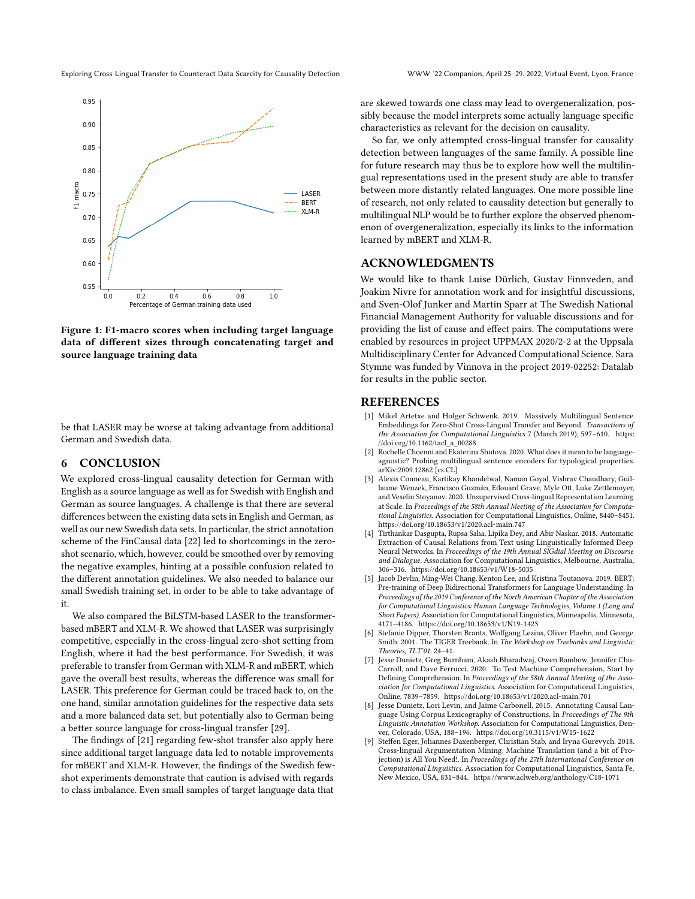Exploring Cross-Lingual Transfer to Counteract Data Scarcity for Causality Detection WWW '22 Companion, April 25–29, 2022, Virtual Event, Lyon, France

<span id="page-6-9"></span>

Figure 1: F1-macro scores when including target language data of different sizes through concatenating target and source language training data

be that LASER may be worse at taking advantage from additional German and Swedish data.

## 6 CONCLUSION

We explored cross-lingual causality detection for German with English as a source language as well as for Swedish with English and German as source languages. A challenge is that there are several differences between the existing data sets in English and German, as well as our new Swedish data sets. In particular, the strict annotation scheme of the FinCausal data [\[22\]](#page-7-11) led to shortcomings in the zeroshot scenario, which, however, could be smoothed over by removing the negative examples, hinting at a possible confusion related to the different annotation guidelines. We also needed to balance our small Swedish training set, in order to be able to take advantage of it.

We also compared the BiLSTM-based LASER to the transformerbased mBERT and XLM-R. We showed that LASER was surprisingly competitive, especially in the cross-lingual zero-shot setting from English, where it had the best performance. For Swedish, it was preferable to transfer from German with XLM-R and mBERT, which gave the overall best results, whereas the difference was small for LASER. This preference for German could be traced back to, on the one hand, similar annotation guidelines for the respective data sets and a more balanced data set, but potentially also to German being a better source language for cross-lingual transfer [\[29\]](#page-7-18).

The findings of [\[21\]](#page-7-4) regarding few-shot transfer also apply here since additional target language data led to notable improvements for mBERT and XLM-R. However, the findings of the Swedish fewshot experiments demonstrate that caution is advised with regards to class imbalance. Even small samples of target language data that

are skewed towards one class may lead to overgeneralization, possibly because the model interprets some actually language specific characteristics as relevant for the decision on causality.

So far, we only attempted cross-lingual transfer for causality detection between languages of the same family. A possible line for future research may thus be to explore how well the multilingual representations used in the present study are able to transfer between more distantly related languages. One more possible line of research, not only related to causality detection but generally to multilingual NLP would be to further explore the observed phenomenon of overgeneralization, especially its links to the information learned by mBERT and XLM-R.

#### ACKNOWLEDGMENTS

We would like to thank Luise Dürlich, Gustav Finnveden, and Joakim Nivre for annotation work and for insightful discussions, and Sven-Olof Junker and Martin Sparr at The Swedish National Financial Management Authority for valuable discussions and for providing the list of cause and effect pairs. The computations were enabled by resources in project UPPMAX 2020/2-2 at the Uppsala Multidisciplinary Center for Advanced Computational Science. Sara Stymne was funded by Vinnova in the project 2019-02252: Datalab for results in the public sector.

#### **REFERENCES**

- <span id="page-6-3"></span>[1] Mikel Artetxe and Holger Schwenk. 2019. Massively Multilingual Sentence Embeddings for Zero-Shot Cross-Lingual Transfer and Beyond. Transactions of the Association for Computational Linguistics 7 (March 2019), 597–610. [https:](https://doi.org/10.1162/tacl_a_00288) [//doi.org/10.1162/tacl\\_a\\_00288](https://doi.org/10.1162/tacl_a_00288)
- <span id="page-6-8"></span>[2] Rochelle Choenni and Ekaterina Shutova. 2020. What does it mean to be languageagnostic? Probing multilingual sentence encoders for typological properties. arXiv[:2009.12862](https://arxiv.org/abs/2009.12862) [cs.CL]
- <span id="page-6-2"></span>[3] Alexis Conneau, Kartikay Khandelwal, Naman Goyal, Vishrav Chaudhary, Guillaume Wenzek, Francisco Guzmán, Edouard Grave, Myle Ott, Luke Zettlemoyer, and Veselin Stoyanov. 2020. Unsupervised Cross-lingual Representation Learning at Scale. In Proceedings of the 58th Annual Meeting of the Association for Computational Linguistics. Association for Computational Linguistics, Online, 8440–8451. <https://doi.org/10.18653/v1/2020.acl-main.747>
- <span id="page-6-4"></span>[4] Tirthankar Dasgupta, Rupsa Saha, Lipika Dey, and Abir Naskar. 2018. Automatic Extraction of Causal Relations from Text using Linguistically Informed Deep Neural Networks. In Proceedings of the 19th Annual SIGdial Meeting on Discourse and Dialogue. Association for Computational Linguistics, Melbourne, Australia, 306–316.<https://doi.org/10.18653/v1/W18-5035>
- <span id="page-6-0"></span>[5] Jacob Devlin, Ming-Wei Chang, Kenton Lee, and Kristina Toutanova. 2019. BERT: Pre-training of Deep Bidirectional Transformers for Language Understanding. In Proceedings of the 2019 Conference of the North American Chapter of the Association for Computational Linguistics: Human Language Technologies, Volume 1 (Long and Short Papers). Association for Computational Linguistics, Minneapolis, Minnesota, 4171–4186.<https://doi.org/10.18653/v1/N19-1423>
- <span id="page-6-6"></span>[6] Stefanie Dipper, Thorsten Brants, Wolfgang Lezius, Oliver Plaehn, and George Smith. 2001. The TIGER Treebank. In The Workshop on Treebanks and Linguistic Theories, TLT'01. 24–41.
- <span id="page-6-7"></span>[7] Jesse Dunietz, Greg Burnham, Akash Bharadwaj, Owen Rambow, Jennifer Chu-Carroll, and Dave Ferrucci. 2020. To Test Machine Comprehension, Start by Defining Comprehension. In Proceedings of the 58th Annual Meeting of the Association for Computational Linguistics. Association for Computational Linguistics, Online, 7839–7859.<https://doi.org/10.18653/v1/2020.acl-main.701>
- <span id="page-6-5"></span>[8] Jesse Dunietz, Lori Levin, and Jaime Carbonell. 2015. Annotating Causal Language Using Corpus Lexicography of Constructions. In Proceedings of The 9th Linguistic Annotation Workshop. Association for Computational Linguistics, Denver, Colorado, USA, 188–196.<https://doi.org/10.3115/v1/W15-1622>
- <span id="page-6-1"></span>[9] Steffen Eger, Johannes Daxenberger, Christian Stab, and Iryna Gurevych. 2018. Cross-lingual Argumentation Mining: Machine Translation (and a bit of Projection) is All You Need!. In Proceedings of the 27th International Conference on Computational Linguistics. Association for Computational Linguistics, Santa Fe, New Mexico, USA, 831–844.<https://www.aclweb.org/anthology/C18-1071>